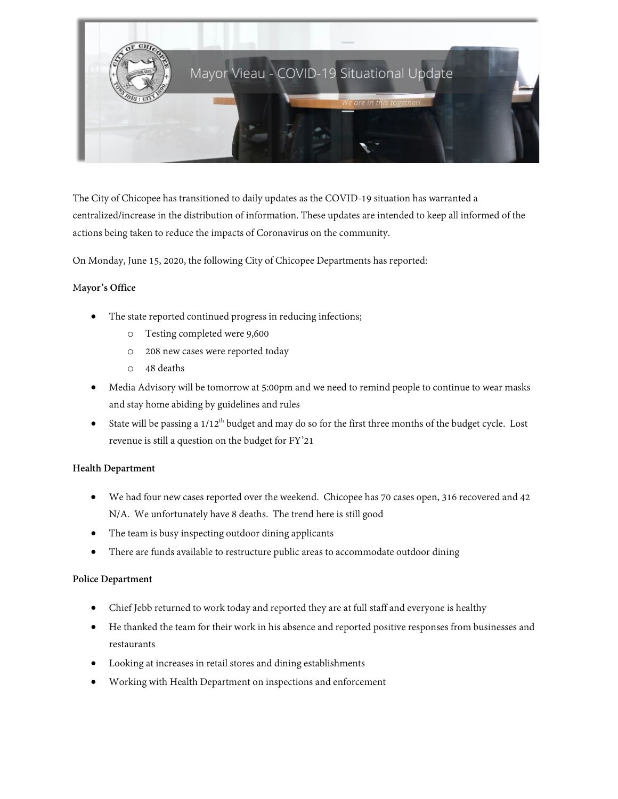

The City of Chicopee has transitioned to daily updates as the COVID-19 situation has warranted a centralized/increase in the distribution of information. These updates are intended to keep all informed of the actions being taken to reduce the impacts of Coronavirus on the community.

On Monday, June 15, 2020, the following City of Chicopee Departments has reported:

### M**ayor's Office**

- The state reported continued progress in reducing infections;
	- o Testing completed were 9,600
	- o 208 new cases were reported today
	- o 48 deaths
- Media Advisory will be tomorrow at 5:00pm and we need to remind people to continue to wear masks and stay home abiding by guidelines and rules
- State will be passing a  $1/12^{th}$  budget and may do so for the first three months of the budget cycle. Lost revenue is still a question on the budget for FY'21

#### **Health Department**

- We had four new cases reported over the weekend. Chicopee has 70 cases open, 316 recovered and 42 N/A. We unfortunately have 8 deaths. The trend here is still good
- The team is busy inspecting outdoor dining applicants
- There are funds available to restructure public areas to accommodate outdoor dining

#### **Police Department**

- Chief Jebb returned to work today and reported they are at full staff and everyone is healthy
- He thanked the team for their work in his absence and reported positive responses from businesses and restaurants
- Looking at increases in retail stores and dining establishments
- Working with Health Department on inspections and enforcement